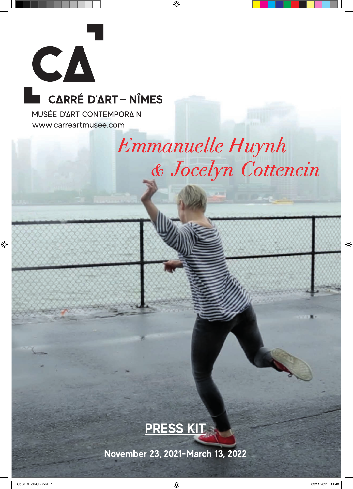

# CARRÉ D'ART - NÎMES

MUSÉE D'ART CONTEMPORAIN www.carreartmusee.com

# Emmanuelle Huynh & Jocelyn Cottencin



**November 23, 2021-March 13, 2022**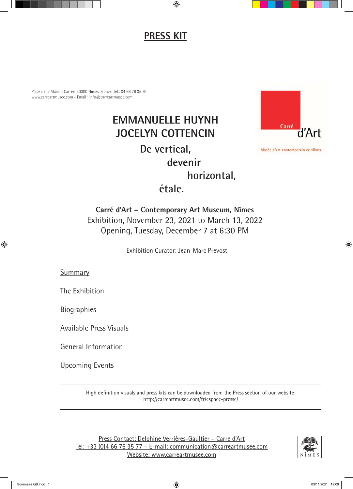### **PRESS KIT**

Place de la Maison Carrée. 30000 Nîmes. France. Tél.: 04 66 76 35 70 www.carreartmusee.com - Email : info@carreartmusee.com

## **EMMANUELLE HUYNH JOCELYN COTTENCIN De vertical, devenir horizontal, étale.**



Musée d'art contemporain de Nîmes

**Carré d'Art – Contemporary Art Museum, Nîmes** Exhibition, November 23, 2021 to March 13, 2022 Opening, Tuesday, December 7 at 6:30 PM

Exhibition Curator: Jean-Marc Prevost

Summary

The Exhibition

Biographies

Available Press Visuals

General Information

Upcoming Events

High definition visuals and press kits can be downloaded from the Press section of our website: http://carreartmusee.com/fr/espace-presse/

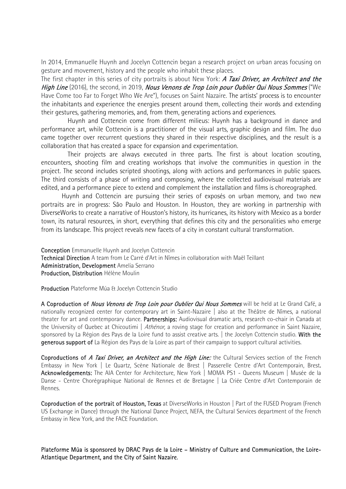In 2014, Emmanuelle Huynh and Jocelyn Cottencin began a research project on urban areas focusing on gesture and movement, history and the people who inhabit these places.

The first chapter in this series of city portraits is about New York: A Taxi Driver, an Architect and the High Line (2016), the second, in 2019, Nous Venons de Trop Loin pour Oublier Qui Nous Sommes ("We Have Come too Far to Forget Who We Are"), focuses on Saint Nazaire. The artists' process is to encounter the inhabitants and experience the energies present around them, collecting their words and extending their gestures, gathering memories, and, from them, generating actions and experiences.

Huynh and Cottencin come from different milieus: Huynh has a background in dance and performance art, while Cottencin is a practitioner of the visual arts, graphic design and film. The duo came together over recurrent questions they shared in their respective disciplines, and the result is a collaboration that has created a space for expansion and experimentation.

Their projects are always executed in three parts. The first is about location scouting, encounters, shooting film and creating workshops that involve the communities in question in the project. The second includes scripted shootings, along with actions and performances in public spaces. The third consists of a phase of writing and composing, where the collected audiovisual materials are edited, and a performance piece to extend and complement the installation and films is choreographed.

Huynh and Cottencin are pursuing their series of exposés on urban memory, and two new portraits are in progress: São Paulo and Houston. In Houston, they are working in partnership with DiverseWorks to create a narrative of Houston's history, its hurricanes, its history with Mexico as a border town, its natural resources, in short, everything that defines this city and the personalities who emerge from its landscape. This project reveals new facets of a city in constant cultural transformation.

Conception Emmanuelle Huynh and Jocelyn Cottencin Technical Direction A team from Le Carré d'Art in Nîmes in collaboration with Maël Teillant Administration, Development Amelia Serrano Production, Distribution Hélène Moulin

Production Plateforme Múa & Jocelyn Cottencin Studio

A Coproduction of Nous Venons de Trop Loin pour Oublier Qui Nous Sommes will be held at Le Grand Café, a nationally recognized center for contemporary art in Saint-Nazaire | also at the Théâtre de Nîmes, a national theater for art and contemporary dance. Partnerships: Audiovisual dramatic arts, research co-chair in Canada at the University of Quebec at Chicoutimi | Athénor, a roving stage for creation and performance in Saint Nazaire, sponsored by La Région des Pays de la Loire fund to assist creative arts. | the Jocelyn Cottencin studio. With the generous support of La Région des Pays de la Loire as part of their campaign to support cultural activities.

Coproductions of A Taxi Driver, an Architect and the High Line: the Cultural Services section of the French Embassy in New York | Le Quartz, Scène Nationale de Brest | Passerelle Centre d'Art Contemporain, Brest. Acknowledgements: The AIA Center for Architecture, New York | MOMA PS1 - Queens Museum | Musée de la Danse - Centre Chorégraphique National de Rennes et de Bretagne | La Criée Centre d'Art Contemporain de Rennes.

Coproduction of the portrait of Houston, Texas at DiverseWorks in Houston | Part of the FUSED Program (French US Exchange in Dance) through the National Dance Project, NEFA, the Cultural Services department of the French Embassy in New York, and the FACE Foundation.

Plateforme Múa is sponsored by DRAC Pays de la Loire – Ministry of Culture and Communication, the Loire-Atlantique Department, and the City of Saint Nazaire.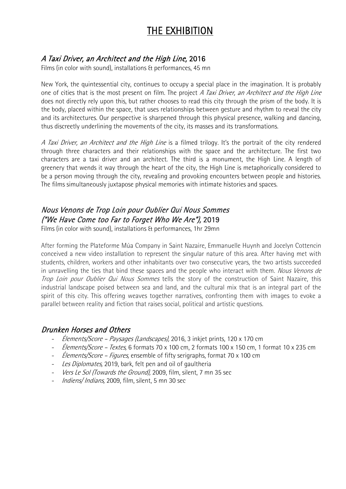### THE EXHIBITION

### A Taxi Driver, an Architect and the High Line, 2016

Films (in color with sound), installations & performances, 45 mn

New York, the quintessential city, continues to occupy a special place in the imagination. It is probably one of cities that is the most present on film. The project A Taxi Driver, an Architect and the High Line does not directly rely upon this, but rather chooses to read this city through the prism of the body. It is the body, placed within the space, that uses relationships between gesture and rhythm to reveal the city and its architectures. Our perspective is sharpened through this physical presence, walking and dancing, thus discreetly underlining the movements of the city, its masses and its transformations.

A Taxi Driver, an Architect and the High Line is a filmed trilogy. It's the portrait of the city rendered through three characters and their relationships with the space and the architecture. The first two characters are a taxi driver and an architect. The third is a monument, the High Line. A length of greenery that wends it way through the heart of the city, the High Line is metaphorically considered to be a person moving through the city, revealing and provoking encounters between people and histories. The films simultaneously juxtapose physical memories with intimate histories and spaces.

### Nous Venons de Trop Loin pour Oublier Qui Nous Sommes ("We Have Come too Far to Forget Who We Are"), 2019

Films (in color with sound), installations & performances, 1hr 29mn

After forming the Plateforme Múa Company in Saint Nazaire, Emmanuelle Huynh and Jocelyn Cottencin conceived a new video installation to represent the singular nature of this area. After having met with students, children, workers and other inhabitants over two consecutive years, the two artists succeeded in unravelling the ties that bind these spaces and the people who interact with them. Nous Venons de Trop Loin pour Oublier Qui Nous Sommes tells the story of the construction of Saint Nazaire, this industrial landscape poised between sea and land, and the cultural mix that is an integral part of the spirit of this city. This offering weaves together narratives, confronting them with images to evoke a parallel between reality and fiction that raises social, political and artistic questions.

#### Drunken Horses and Others

- *Élements/Score Paysages (Landscapes)*, 2016, 3 inkjet prints, 120 x 170 cm
- *Élements/Score Textes*, 6 formats 70 x 100 cm, 2 formats 100 x 150 cm, 1 format 10 x 235 cm
- *Élements/Score Figures*, ensemble of fifty serigraphs, format 70 x 100 cm
- Les Diplomates, 2019, bark, felt pen and oil of gaultheria
- Vers Le Sol (Towards the Ground), 2009, film, silent, 7 mn 35 sec
- *Indiens/ Indians*, 2009, film, silent, 5 mn 30 sec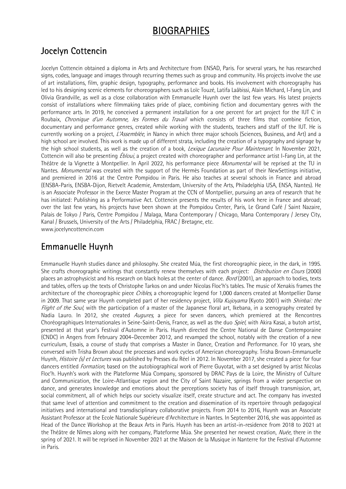### BIOGRAPHIES

### Jocelyn Cottencin

Jocelyn Cottencin obtained a diploma in Arts and Architecture from ENSAD, Paris. For several years, he has researched signs, codes, language and images through recurring themes such as group and community. His projects involve the use of art installations, film, graphic design, typography, performance and books. His involvement with choreography has led to his designing scenic elements for choreographers such as Loïc Touzé, Latifa Laâbissi, Alain Michard, I-Fang Lin, and Olivia Grandville, as well as a close collaboration with Emmanuelle Huynh over the last few years. His latest projects consist of installations where filmmaking takes pride of place, combining fiction and documentary genres with the performance arts. In 2019, he conceived a permanent installation for a one percent for art project for the IUT C in Roubaix, Chronique d'un Automne, les Formes du Travail which consists of three films that combine fiction, documentary and performance genres, created while working with the students, teachers and staff of the IUT. He is currently working on a project, L'Assemblée, in Nancy in which three major schools (Sciences, Business, and Art) and a high school are involved. This work is made up of different strata, including the creation of a typography and signage by the high school students, as well as the creation of a book, Lexique Lacunaire Pour Maintenant. In November 2021, Cottencin will also be presenting *Ébloui*, a project created with choreographer and performance artist I-Fang Lin, at the Théâtre de la Vignette à Montpellier. In April 2022, his performance piece *Monumental* will be reprised at the TU in Nantes. Monumental was created with the support of the Hermès Foundation as part of their NewSettings initiative, and premiered in 2016 at the Centre Pompidou in Paris. He also teaches at several schools in France and abroad (ENSBA-Paris, ENSBA-Dijon, Rietvelt Academie, Amsterdam, University of the Arts, Philadelphia USA, ENSA, Nantes). He is an Associate Professor in the Exerce Master Program at the CCN of Montpellier, pursuing an area of research that he has initiated: Publishing as a Performative Act. Cottencin presents the results of his work here in France and abroad; over the last few years, his projects have been shown at the Pompidou Center, Paris, Le Grand Café / Saint Nazaire, Palais de Tokyo / Paris, Centre Pompidou / Malaga, Mana Contemporary / Chicago, Mana Contemporary / Jersey City, Kanal / Brussels, University of the Arts / Philadelphia, FRAC / Bretagne, etc. www.jocelyncottencin.com

### Emmanuelle Huynh

Emmanuelle Huynh studies dance and philosophy. She created Múa, the first choreographic piece, in the dark, in 1995. She crafts choreographic writings that constantly renew themselves with each project: *Distribution en Cours* (2000) places an astrophysicist and his research on black holes at the center of dance. *Bord* (2001), an approach to bodies, texts and tables, offers up the texts of Christophe Tarkos on and under Nicolas Floc'h's tables. The music of Xenakis frames the architecture of the choreographic piece *Cribles*, a choreographic legend for 1,000 dancers created at Montpellier Danse in 2009. That same year Huynh completed part of her residency project, Villa Kujoyama (Kyoto 2001) with Shinbai: the Flight of the Soul, with the participation of a master of the Japanese floral art, Ikebana, in a scenography created by Nadia Lauro. In 2012, she created Augures, a piece for seven dancers, which premiered at the Rencontres Choréographiques Internationales in Seine-Saint-Denis, France, as well as the duo Spiel, with Akira Kasai, a butoh artist, presented at that year's Festival d'Automne in Paris. Huynh directed the Centre National de Danse Contemporaine (CNDC) in Angers from February 2004–December 2012, and revamped the school, notably with the creation of a new curriculum, Essais, a course of study that comprises a Master in Dance, Creation and Performance. For 10 years, she conversed with Trisha Brown about the processes and work cycles of American choreography. Trisha Brown-Emmanuelle Huynh, *Histoire (s) et Lectures* was published by Presses du Réel in 2012. In November 2017, she created a piece for four dancers entitled *Formation*, based on the autobiographical work of Pierre Guyotat, with a set designed by artist Nicolas Floc'h. Huynh's work with the Plateforme Múa Company, sponsored by DRAC Pays de la Loire, the Ministry of Culture and Communication, the Loire-Atlantique region and the City of Saint Nazaire, springs from a wider perspective on dance, and generates knowledge and emotions about the perceptions society has of itself through transmission, art, social commitment, all of which helps our society visualize itself, create structure and act. The company has invested that same level of attention and commitment to the creation and dissemination of its repertoire through pedagogical initiatives and international and transdisciplinary collaborative projects. From 2014 to 2016, Huynh was an Associate Assistant Professor at the Ecole Nationale Supérieure d'Architecture in Nantes. In September 2016, she was appointed as Head of the Dance Workshop at the Beaux Arts in Paris. Huynh has been an artist-in-residence from 2018 to 2021 at the Théâtre de Nîmes along with her company, Plateforme Múa. She presented her newest creation, Nuée, there in the spring of 2021. It will be reprised in November 2021 at the Maison de la Musique in Nanterre for the Festival d'Automne in Paris.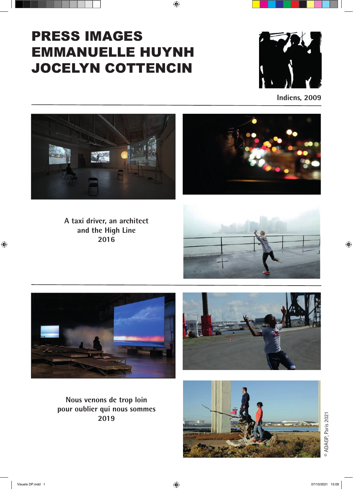# PRESS IMAGES EMMANUELLE HUYNH JOCELYN COTTENCIN



**Indiens, 2009**





**A taxi driver, an architect and the High Line 2016**





**Nous venons de trop loin pour oublier qui nous sommes 2019**





<sup>©</sup> ADAGP, Paris 2021 © ADAGP, Paris 2021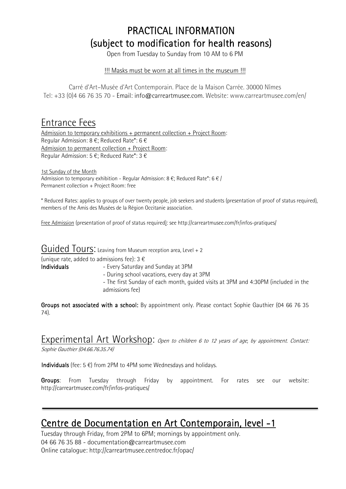# PRACTICAL INFORMATION (subject to modification for health reasons)<br>Open from Tuesday to Sunday from 10 AM to 6 PM

#### !!! Masks must be worn at all times in the museum !!!

Carré d'Art–Musée d'Art Contemporain. Place de la Maison Carrée. 30000 Nîmes Tel: +33 (0)4 66 76 35 70 - Email: info@carreartmusee.com. Website: www.carreartmusee.com/en/

### Entrance Fees

Admission to temporary exhibitions + permanent collection + Project Room: Regular Admission: 8 €; Reduced Rate\*: 6 € Admission to permanent collection + Project Room: Regular Admission: 5 €; Reduced Rate\*: 3 €

1st Sunday of the Month Admission to temporary exhibition - Regular Admission: 8  $\epsilon$ ; Reduced Rate\*: 6  $\epsilon$  / Permanent collection + Project Room: free

\* Reduced Rates: applies to groups of over twenty people, job seekers and students (presentation of proof of status required), members of the Amis des Musées de la Région Occitanie association.

Free Admission (presentation of proof of status required): see http://carreartmusee.com/fr/infos-pratiques/

### Guided Tours: Leaving from Museum reception area, Level + 2

(unique rate, added to admissions fee):  $3 \in$  Individuals

- Every Saturday and Sunday at 3PM
- During school vacations, every day at 3PM
- The first Sunday of each month, guided visits at 3PM and 4:30PM (included in the admissions fee)

Groups not associated with a school: By appointment only. Please contact Sophie Gauthier (04 66 76 35 74).

Experimental Art Workshop: *Open to children 6 to 12 years of age, by appointment. Contact:* Sophie Gauthier (04.66.76.35.74)

Individuals (fee:  $5 \in$ ) from 2PM to 4PM some Wednesdays and holidays.

Groups: From Tuesday through Friday by appointment. For rates see our website: http://carreartmusee.com/fr/infos-pratiques/

# Centre de Documentation en Art Contemporain, level -1<br>Tuesday through Friday, from 2PM to 6PM; mornings by appointment only.

04 66 76 35 88 - documentation@carreartmusee.com Online catalogue: http://carreartmusee.centredoc.fr/opac/